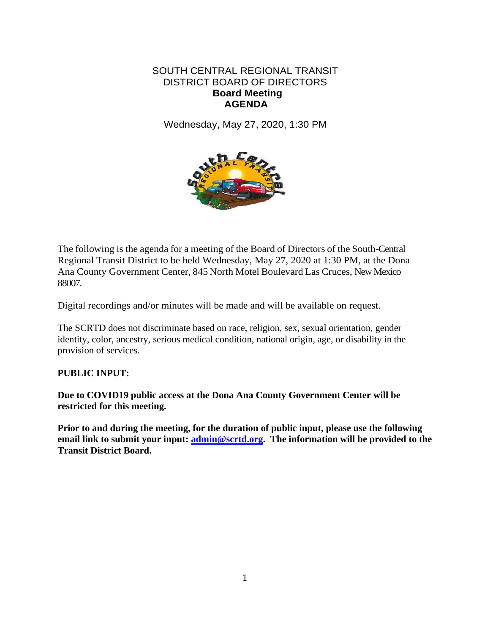## SOUTH CENTRAL REGIONAL TRANSIT DISTRICT BOARD OF DIRECTORS **Board Meeting AGENDA**

Wednesday, May 27, 2020, 1:30 PM



The following is the agenda for a meeting of the Board of Directors of the South-Central Regional Transit District to be held Wednesday, May 27, 2020 at 1:30 PM, at the Dona Ana County Government Center, 845 North Motel Boulevard Las Cruces, New Mexico 88007.

Digital recordings and/or minutes will be made and will be available on request.

The SCRTD does not discriminate based on race, religion, sex, sexual orientation, gender identity, color, ancestry, serious medical condition, national origin, age, or disability in the provision of services.

## **PUBLIC INPUT:**

**Due to COVID19 public access at the Dona Ana County Government Center will be restricted for this meeting.** 

**Prior to and during the meeting, for the duration of public input, please use the following email link to submit your input: [admin@scrtd.org.](mailto:admin@scrtd.org) The information will be provided to the Transit District Board.**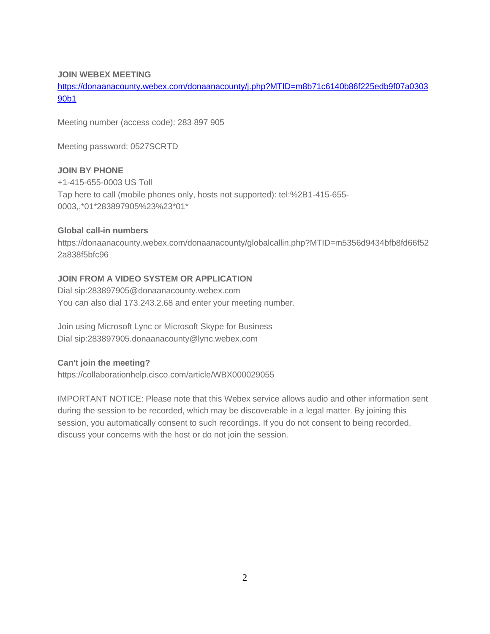#### **JOIN WEBEX MEETING**

[https://donaanacounty.webex.com/donaanacounty/j.php?MTID=m8b71c6140b86f225edb9f07a0303](https://donaanacounty.webex.com/donaanacounty/j.php?MTID=m8b71c6140b86f225edb9f07a030390b1) [90b1](https://donaanacounty.webex.com/donaanacounty/j.php?MTID=m8b71c6140b86f225edb9f07a030390b1)

Meeting number (access code): 283 897 905

Meeting password: 0527SCRTD

#### **JOIN BY PHONE**

+1-415-655-0003 US Toll Tap here to call (mobile phones only, hosts not supported): tel:%2B1-415-655- 0003,,\*01\*283897905%23%23\*01\*

#### **Global call-in numbers**

https://donaanacounty.webex.com/donaanacounty/globalcallin.php?MTID=m5356d9434bfb8fd66f52 2a838f5bfc96

#### **JOIN FROM A VIDEO SYSTEM OR APPLICATION**

Dial sip:283897905@donaanacounty.webex.com You can also dial 173.243.2.68 and enter your meeting number.

Join using Microsoft Lync or Microsoft Skype for Business Dial sip:283897905.donaanacounty@lync.webex.com

#### **Can't join the meeting?**

https://collaborationhelp.cisco.com/article/WBX000029055

IMPORTANT NOTICE: Please note that this Webex service allows audio and other information sent during the session to be recorded, which may be discoverable in a legal matter. By joining this session, you automatically consent to such recordings. If you do not consent to being recorded, discuss your concerns with the host or do not join the session.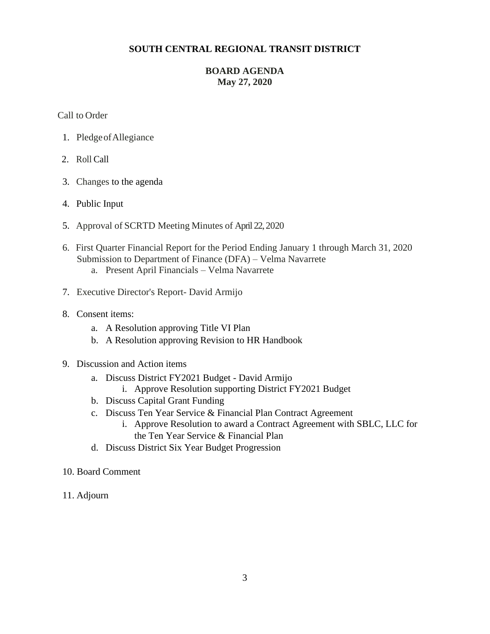#### **SOUTH CENTRAL REGIONAL TRANSIT DISTRICT**

## **BOARD AGENDA May 27, 2020**

Call to Order

- 1. PledgeofAllegiance
- 2. Roll Call
- 3. Changes to the agenda
- 4. Public Input
- 5. Approval of SCRTD Meeting Minutes of April 22,2020
- 6. First Quarter Financial Report for the Period Ending January 1 through March 31, 2020 Submission to Department of Finance (DFA) – Velma Navarrete
	- a. Present April Financials Velma Navarrete
- 7. Executive Director's Report- David Armijo
- 8. Consent items:
	- a. A Resolution approving Title VI Plan
	- b. A Resolution approving Revision to HR Handbook
- 9. Discussion and Action items
	- a. Discuss District FY2021 Budget David Armijo
		- i. Approve Resolution supporting District FY2021 Budget
	- b. Discuss Capital Grant Funding
	- c. Discuss Ten Year Service & Financial Plan Contract Agreement
		- i. Approve Resolution to award a Contract Agreement with SBLC, LLC for the Ten Year Service & Financial Plan
	- d. Discuss District Six Year Budget Progression
- 10. Board Comment
- 11. Adjourn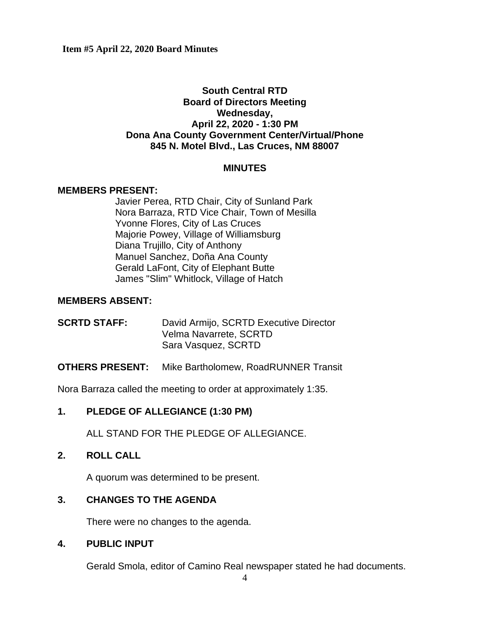# **South Central RTD Board of Directors Meeting Wednesday, April 22, 2020 - 1:30 PM Dona Ana County Government Center/Virtual/Phone 845 N. Motel Blvd., Las Cruces, NM 88007**

## **MINUTES**

## **MEMBERS PRESENT:**

Javier Perea, RTD Chair, City of Sunland Park Nora Barraza, RTD Vice Chair, Town of Mesilla Yvonne Flores, City of Las Cruces Majorie Powey, Village of Williamsburg Diana Trujillo, City of Anthony Manuel Sanchez, Doña Ana County Gerald LaFont, City of Elephant Butte James "Slim" Whitlock, Village of Hatch

## **MEMBERS ABSENT:**

**SCRTD STAFF:** David Armijo, SCRTD Executive Director Velma Navarrete, SCRTD Sara Vasquez, SCRTD

## **OTHERS PRESENT:** Mike Bartholomew, RoadRUNNER Transit

Nora Barraza called the meeting to order at approximately 1:35.

# **1. PLEDGE OF ALLEGIANCE (1:30 PM)**

ALL STAND FOR THE PLEDGE OF ALLEGIANCE.

# **2. ROLL CALL**

A quorum was determined to be present.

# **3. CHANGES TO THE AGENDA**

There were no changes to the agenda.

## **4. PUBLIC INPUT**

Gerald Smola, editor of Camino Real newspaper stated he had documents.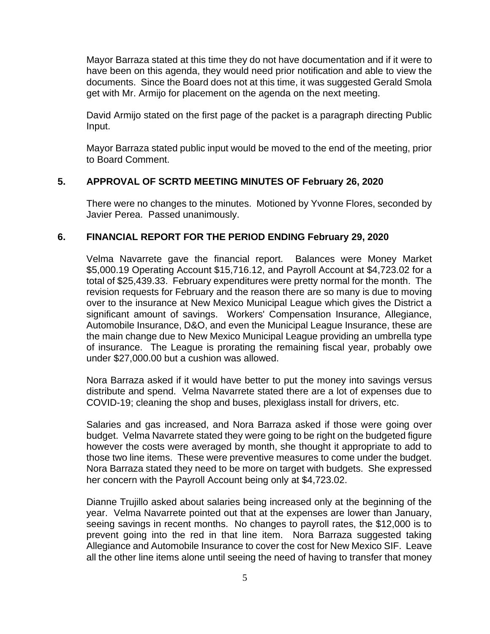Mayor Barraza stated at this time they do not have documentation and if it were to have been on this agenda, they would need prior notification and able to view the documents. Since the Board does not at this time, it was suggested Gerald Smola get with Mr. Armijo for placement on the agenda on the next meeting.

David Armijo stated on the first page of the packet is a paragraph directing Public Input.

Mayor Barraza stated public input would be moved to the end of the meeting, prior to Board Comment.

# **5. APPROVAL OF SCRTD MEETING MINUTES OF February 26, 2020**

There were no changes to the minutes. Motioned by Yvonne Flores, seconded by Javier Perea. Passed unanimously.

## **6. FINANCIAL REPORT FOR THE PERIOD ENDING February 29, 2020**

Velma Navarrete gave the financial report. Balances were Money Market \$5,000.19 Operating Account \$15,716.12, and Payroll Account at \$4,723.02 for a total of \$25,439.33. February expenditures were pretty normal for the month. The revision requests for February and the reason there are so many is due to moving over to the insurance at New Mexico Municipal League which gives the District a significant amount of savings. Workers' Compensation Insurance, Allegiance, Automobile Insurance, D&O, and even the Municipal League Insurance, these are the main change due to New Mexico Municipal League providing an umbrella type of insurance. The League is prorating the remaining fiscal year, probably owe under \$27,000.00 but a cushion was allowed.

Nora Barraza asked if it would have better to put the money into savings versus distribute and spend. Velma Navarrete stated there are a lot of expenses due to COVID-19; cleaning the shop and buses, plexiglass install for drivers, etc.

Salaries and gas increased, and Nora Barraza asked if those were going over budget. Velma Navarrete stated they were going to be right on the budgeted figure however the costs were averaged by month, she thought it appropriate to add to those two line items. These were preventive measures to come under the budget. Nora Barraza stated they need to be more on target with budgets. She expressed her concern with the Payroll Account being only at \$4,723.02.

Dianne Trujillo asked about salaries being increased only at the beginning of the year. Velma Navarrete pointed out that at the expenses are lower than January, seeing savings in recent months. No changes to payroll rates, the \$12,000 is to prevent going into the red in that line item. Nora Barraza suggested taking Allegiance and Automobile Insurance to cover the cost for New Mexico SIF. Leave all the other line items alone until seeing the need of having to transfer that money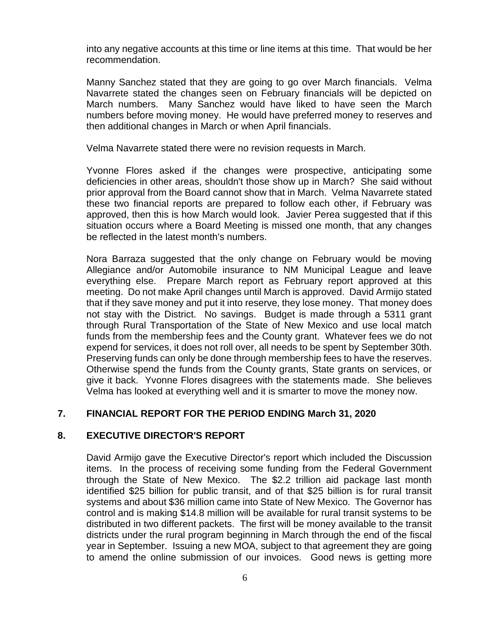into any negative accounts at this time or line items at this time. That would be her recommendation.

Manny Sanchez stated that they are going to go over March financials. Velma Navarrete stated the changes seen on February financials will be depicted on March numbers. Many Sanchez would have liked to have seen the March numbers before moving money. He would have preferred money to reserves and then additional changes in March or when April financials.

Velma Navarrete stated there were no revision requests in March.

Yvonne Flores asked if the changes were prospective, anticipating some deficiencies in other areas, shouldn't those show up in March? She said without prior approval from the Board cannot show that in March. Velma Navarrete stated these two financial reports are prepared to follow each other, if February was approved, then this is how March would look. Javier Perea suggested that if this situation occurs where a Board Meeting is missed one month, that any changes be reflected in the latest month's numbers.

Nora Barraza suggested that the only change on February would be moving Allegiance and/or Automobile insurance to NM Municipal League and leave everything else. Prepare March report as February report approved at this meeting. Do not make April changes until March is approved. David Armijo stated that if they save money and put it into reserve, they lose money. That money does not stay with the District. No savings. Budget is made through a 5311 grant through Rural Transportation of the State of New Mexico and use local match funds from the membership fees and the County grant. Whatever fees we do not expend for services, it does not roll over, all needs to be spent by September 30th. Preserving funds can only be done through membership fees to have the reserves. Otherwise spend the funds from the County grants, State grants on services, or give it back. Yvonne Flores disagrees with the statements made. She believes Velma has looked at everything well and it is smarter to move the money now.

# **7. FINANCIAL REPORT FOR THE PERIOD ENDING March 31, 2020**

## **8. EXECUTIVE DIRECTOR'S REPORT**

David Armijo gave the Executive Director's report which included the Discussion items. In the process of receiving some funding from the Federal Government through the State of New Mexico. The \$2.2 trillion aid package last month identified \$25 billion for public transit, and of that \$25 billion is for rural transit systems and about \$36 million came into State of New Mexico. The Governor has control and is making \$14.8 million will be available for rural transit systems to be distributed in two different packets. The first will be money available to the transit districts under the rural program beginning in March through the end of the fiscal year in September. Issuing a new MOA, subject to that agreement they are going to amend the online submission of our invoices. Good news is getting more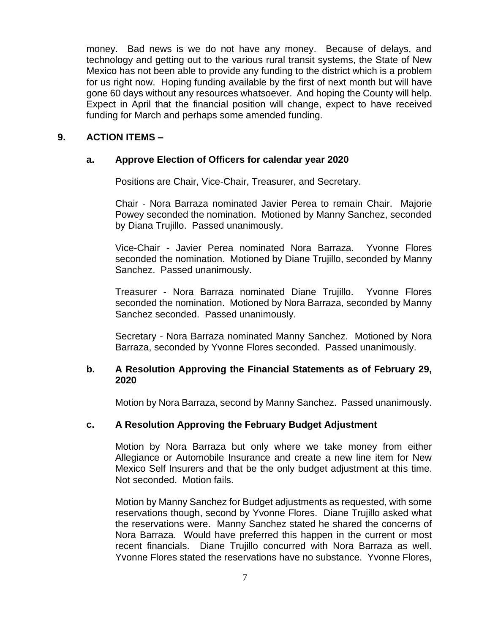money. Bad news is we do not have any money. Because of delays, and technology and getting out to the various rural transit systems, the State of New Mexico has not been able to provide any funding to the district which is a problem for us right now. Hoping funding available by the first of next month but will have gone 60 days without any resources whatsoever. And hoping the County will help. Expect in April that the financial position will change, expect to have received funding for March and perhaps some amended funding.

## **9. ACTION ITEMS –**

## **a. Approve Election of Officers for calendar year 2020**

Positions are Chair, Vice-Chair, Treasurer, and Secretary.

Chair - Nora Barraza nominated Javier Perea to remain Chair. Majorie Powey seconded the nomination. Motioned by Manny Sanchez, seconded by Diana Trujillo. Passed unanimously.

Vice-Chair - Javier Perea nominated Nora Barraza. Yvonne Flores seconded the nomination. Motioned by Diane Trujillo, seconded by Manny Sanchez. Passed unanimously.

Treasurer - Nora Barraza nominated Diane Trujillo. Yvonne Flores seconded the nomination. Motioned by Nora Barraza, seconded by Manny Sanchez seconded. Passed unanimously.

Secretary - Nora Barraza nominated Manny Sanchez. Motioned by Nora Barraza, seconded by Yvonne Flores seconded. Passed unanimously.

## **b. A Resolution Approving the Financial Statements as of February 29, 2020**

Motion by Nora Barraza, second by Manny Sanchez. Passed unanimously.

# **c. A Resolution Approving the February Budget Adjustment**

Motion by Nora Barraza but only where we take money from either Allegiance or Automobile Insurance and create a new line item for New Mexico Self Insurers and that be the only budget adjustment at this time. Not seconded. Motion fails.

Motion by Manny Sanchez for Budget adjustments as requested, with some reservations though, second by Yvonne Flores. Diane Trujillo asked what the reservations were. Manny Sanchez stated he shared the concerns of Nora Barraza. Would have preferred this happen in the current or most recent financials. Diane Trujillo concurred with Nora Barraza as well. Yvonne Flores stated the reservations have no substance. Yvonne Flores,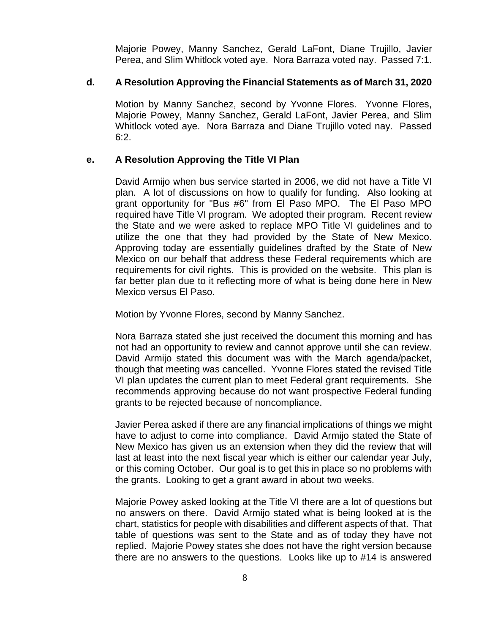Majorie Powey, Manny Sanchez, Gerald LaFont, Diane Trujillo, Javier Perea, and Slim Whitlock voted aye. Nora Barraza voted nay. Passed 7:1.

## **d. A Resolution Approving the Financial Statements as of March 31, 2020**

Motion by Manny Sanchez, second by Yvonne Flores. Yvonne Flores, Majorie Powey, Manny Sanchez, Gerald LaFont, Javier Perea, and Slim Whitlock voted aye. Nora Barraza and Diane Trujillo voted nay. Passed  $6:2.$ 

## **e. A Resolution Approving the Title VI Plan**

David Armijo when bus service started in 2006, we did not have a Title VI plan. A lot of discussions on how to qualify for funding. Also looking at grant opportunity for "Bus #6" from El Paso MPO. The El Paso MPO required have Title VI program. We adopted their program. Recent review the State and we were asked to replace MPO Title VI guidelines and to utilize the one that they had provided by the State of New Mexico. Approving today are essentially guidelines drafted by the State of New Mexico on our behalf that address these Federal requirements which are requirements for civil rights. This is provided on the website. This plan is far better plan due to it reflecting more of what is being done here in New Mexico versus El Paso.

Motion by Yvonne Flores, second by Manny Sanchez.

Nora Barraza stated she just received the document this morning and has not had an opportunity to review and cannot approve until she can review. David Armijo stated this document was with the March agenda/packet, though that meeting was cancelled. Yvonne Flores stated the revised Title VI plan updates the current plan to meet Federal grant requirements. She recommends approving because do not want prospective Federal funding grants to be rejected because of noncompliance.

Javier Perea asked if there are any financial implications of things we might have to adjust to come into compliance. David Armijo stated the State of New Mexico has given us an extension when they did the review that will last at least into the next fiscal year which is either our calendar year July, or this coming October. Our goal is to get this in place so no problems with the grants. Looking to get a grant award in about two weeks.

Majorie Powey asked looking at the Title VI there are a lot of questions but no answers on there. David Armijo stated what is being looked at is the chart, statistics for people with disabilities and different aspects of that. That table of questions was sent to the State and as of today they have not replied. Majorie Powey states she does not have the right version because there are no answers to the questions. Looks like up to #14 is answered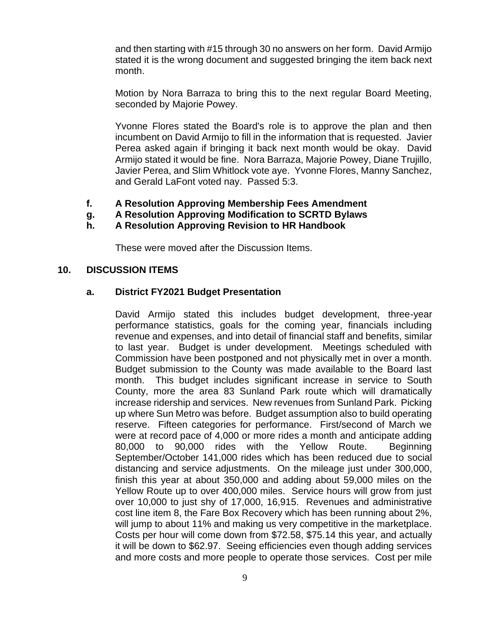and then starting with #15 through 30 no answers on her form. David Armijo stated it is the wrong document and suggested bringing the item back next month.

Motion by Nora Barraza to bring this to the next regular Board Meeting, seconded by Majorie Powey.

Yvonne Flores stated the Board's role is to approve the plan and then incumbent on David Armijo to fill in the information that is requested. Javier Perea asked again if bringing it back next month would be okay. David Armijo stated it would be fine. Nora Barraza, Majorie Powey, Diane Trujillo, Javier Perea, and Slim Whitlock vote aye. Yvonne Flores, Manny Sanchez, and Gerald LaFont voted nay. Passed 5:3.

- **f. A Resolution Approving Membership Fees Amendment**
- **g. A Resolution Approving Modification to SCRTD Bylaws**
- **h. A Resolution Approving Revision to HR Handbook**

These were moved after the Discussion Items.

## **10. DISCUSSION ITEMS**

## **a. District FY2021 Budget Presentation**

David Armijo stated this includes budget development, three-year performance statistics, goals for the coming year, financials including revenue and expenses, and into detail of financial staff and benefits, similar to last year. Budget is under development. Meetings scheduled with Commission have been postponed and not physically met in over a month. Budget submission to the County was made available to the Board last month. This budget includes significant increase in service to South County, more the area 83 Sunland Park route which will dramatically increase ridership and services. New revenues from Sunland Park. Picking up where Sun Metro was before. Budget assumption also to build operating reserve. Fifteen categories for performance. First/second of March we were at record pace of 4,000 or more rides a month and anticipate adding 80,000 to 90,000 rides with the Yellow Route. Beginning September/October 141,000 rides which has been reduced due to social distancing and service adjustments. On the mileage just under 300,000, finish this year at about 350,000 and adding about 59,000 miles on the Yellow Route up to over 400,000 miles. Service hours will grow from just over 10,000 to just shy of 17,000, 16,915. Revenues and administrative cost line item 8, the Fare Box Recovery which has been running about 2%, will jump to about 11% and making us very competitive in the marketplace. Costs per hour will come down from \$72.58, \$75.14 this year, and actually it will be down to \$62.97. Seeing efficiencies even though adding services and more costs and more people to operate those services. Cost per mile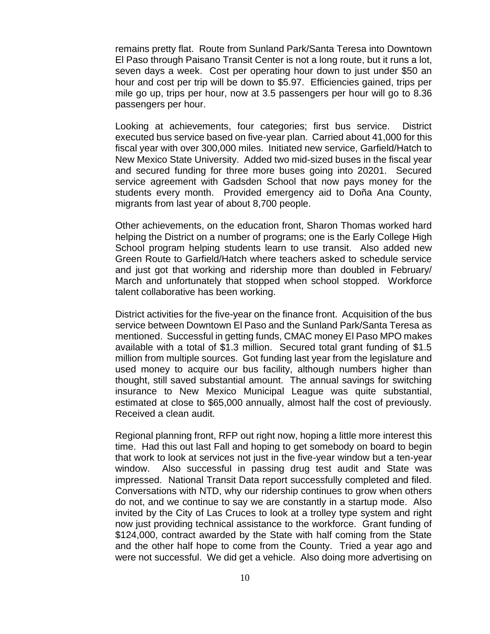remains pretty flat. Route from Sunland Park/Santa Teresa into Downtown El Paso through Paisano Transit Center is not a long route, but it runs a lot, seven days a week. Cost per operating hour down to just under \$50 an hour and cost per trip will be down to \$5.97. Efficiencies gained, trips per mile go up, trips per hour, now at 3.5 passengers per hour will go to 8.36 passengers per hour.

Looking at achievements, four categories; first bus service. District executed bus service based on five-year plan. Carried about 41,000 for this fiscal year with over 300,000 miles. Initiated new service, Garfield/Hatch to New Mexico State University. Added two mid-sized buses in the fiscal year and secured funding for three more buses going into 20201. Secured service agreement with Gadsden School that now pays money for the students every month. Provided emergency aid to Doña Ana County, migrants from last year of about 8,700 people.

Other achievements, on the education front, Sharon Thomas worked hard helping the District on a number of programs; one is the Early College High School program helping students learn to use transit. Also added new Green Route to Garfield/Hatch where teachers asked to schedule service and just got that working and ridership more than doubled in February/ March and unfortunately that stopped when school stopped. Workforce talent collaborative has been working.

District activities for the five-year on the finance front. Acquisition of the bus service between Downtown El Paso and the Sunland Park/Santa Teresa as mentioned. Successful in getting funds, CMAC money El Paso MPO makes available with a total of \$1.3 million. Secured total grant funding of \$1.5 million from multiple sources. Got funding last year from the legislature and used money to acquire our bus facility, although numbers higher than thought, still saved substantial amount. The annual savings for switching insurance to New Mexico Municipal League was quite substantial, estimated at close to \$65,000 annually, almost half the cost of previously. Received a clean audit.

Regional planning front, RFP out right now, hoping a little more interest this time. Had this out last Fall and hoping to get somebody on board to begin that work to look at services not just in the five-year window but a ten-year window. Also successful in passing drug test audit and State was impressed. National Transit Data report successfully completed and filed. Conversations with NTD, why our ridership continues to grow when others do not, and we continue to say we are constantly in a startup mode. Also invited by the City of Las Cruces to look at a trolley type system and right now just providing technical assistance to the workforce. Grant funding of \$124,000, contract awarded by the State with half coming from the State and the other half hope to come from the County. Tried a year ago and were not successful. We did get a vehicle. Also doing more advertising on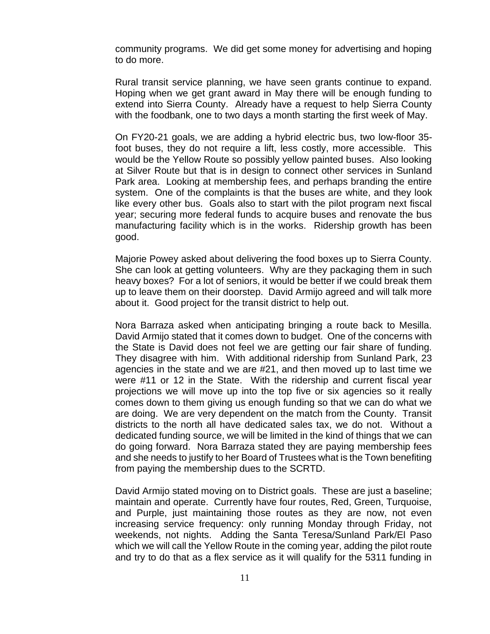community programs. We did get some money for advertising and hoping to do more.

Rural transit service planning, we have seen grants continue to expand. Hoping when we get grant award in May there will be enough funding to extend into Sierra County. Already have a request to help Sierra County with the foodbank, one to two days a month starting the first week of May.

On FY20-21 goals, we are adding a hybrid electric bus, two low-floor 35 foot buses, they do not require a lift, less costly, more accessible. This would be the Yellow Route so possibly yellow painted buses. Also looking at Silver Route but that is in design to connect other services in Sunland Park area. Looking at membership fees, and perhaps branding the entire system. One of the complaints is that the buses are white, and they look like every other bus. Goals also to start with the pilot program next fiscal year; securing more federal funds to acquire buses and renovate the bus manufacturing facility which is in the works. Ridership growth has been good.

Majorie Powey asked about delivering the food boxes up to Sierra County. She can look at getting volunteers. Why are they packaging them in such heavy boxes? For a lot of seniors, it would be better if we could break them up to leave them on their doorstep. David Armijo agreed and will talk more about it. Good project for the transit district to help out.

Nora Barraza asked when anticipating bringing a route back to Mesilla. David Armijo stated that it comes down to budget. One of the concerns with the State is David does not feel we are getting our fair share of funding. They disagree with him. With additional ridership from Sunland Park, 23 agencies in the state and we are #21, and then moved up to last time we were #11 or 12 in the State. With the ridership and current fiscal year projections we will move up into the top five or six agencies so it really comes down to them giving us enough funding so that we can do what we are doing. We are very dependent on the match from the County. Transit districts to the north all have dedicated sales tax, we do not. Without a dedicated funding source, we will be limited in the kind of things that we can do going forward. Nora Barraza stated they are paying membership fees and she needs to justify to her Board of Trustees what is the Town benefiting from paying the membership dues to the SCRTD.

David Armijo stated moving on to District goals. These are just a baseline; maintain and operate. Currently have four routes, Red, Green, Turquoise, and Purple, just maintaining those routes as they are now, not even increasing service frequency: only running Monday through Friday, not weekends, not nights. Adding the Santa Teresa/Sunland Park/El Paso which we will call the Yellow Route in the coming year, adding the pilot route and try to do that as a flex service as it will qualify for the 5311 funding in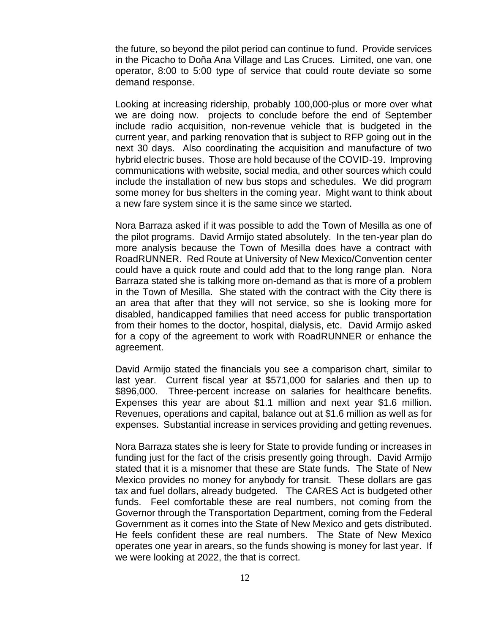the future, so beyond the pilot period can continue to fund. Provide services in the Picacho to Doña Ana Village and Las Cruces. Limited, one van, one operator, 8:00 to 5:00 type of service that could route deviate so some demand response.

Looking at increasing ridership, probably 100,000-plus or more over what we are doing now. projects to conclude before the end of September include radio acquisition, non-revenue vehicle that is budgeted in the current year, and parking renovation that is subject to RFP going out in the next 30 days. Also coordinating the acquisition and manufacture of two hybrid electric buses. Those are hold because of the COVID-19. Improving communications with website, social media, and other sources which could include the installation of new bus stops and schedules. We did program some money for bus shelters in the coming year. Might want to think about a new fare system since it is the same since we started.

Nora Barraza asked if it was possible to add the Town of Mesilla as one of the pilot programs. David Armijo stated absolutely. In the ten-year plan do more analysis because the Town of Mesilla does have a contract with RoadRUNNER. Red Route at University of New Mexico/Convention center could have a quick route and could add that to the long range plan. Nora Barraza stated she is talking more on-demand as that is more of a problem in the Town of Mesilla. She stated with the contract with the City there is an area that after that they will not service, so she is looking more for disabled, handicapped families that need access for public transportation from their homes to the doctor, hospital, dialysis, etc. David Armijo asked for a copy of the agreement to work with RoadRUNNER or enhance the agreement.

David Armijo stated the financials you see a comparison chart, similar to last year. Current fiscal year at \$571,000 for salaries and then up to \$896,000. Three-percent increase on salaries for healthcare benefits. Expenses this year are about \$1.1 million and next year \$1.6 million. Revenues, operations and capital, balance out at \$1.6 million as well as for expenses. Substantial increase in services providing and getting revenues.

Nora Barraza states she is leery for State to provide funding or increases in funding just for the fact of the crisis presently going through. David Armijo stated that it is a misnomer that these are State funds. The State of New Mexico provides no money for anybody for transit. These dollars are gas tax and fuel dollars, already budgeted. The CARES Act is budgeted other funds. Feel comfortable these are real numbers, not coming from the Governor through the Transportation Department, coming from the Federal Government as it comes into the State of New Mexico and gets distributed. He feels confident these are real numbers. The State of New Mexico operates one year in arears, so the funds showing is money for last year. If we were looking at 2022, the that is correct.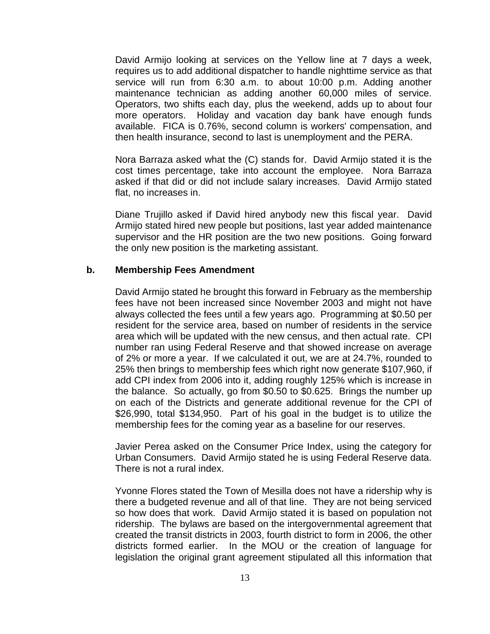David Armijo looking at services on the Yellow line at 7 days a week, requires us to add additional dispatcher to handle nighttime service as that service will run from 6:30 a.m. to about 10:00 p.m. Adding another maintenance technician as adding another 60,000 miles of service. Operators, two shifts each day, plus the weekend, adds up to about four more operators. Holiday and vacation day bank have enough funds available. FICA is 0.76%, second column is workers' compensation, and then health insurance, second to last is unemployment and the PERA.

Nora Barraza asked what the (C) stands for. David Armijo stated it is the cost times percentage, take into account the employee. Nora Barraza asked if that did or did not include salary increases. David Armijo stated flat, no increases in.

Diane Trujillo asked if David hired anybody new this fiscal year. David Armijo stated hired new people but positions, last year added maintenance supervisor and the HR position are the two new positions. Going forward the only new position is the marketing assistant.

#### **b. Membership Fees Amendment**

David Armijo stated he brought this forward in February as the membership fees have not been increased since November 2003 and might not have always collected the fees until a few years ago. Programming at \$0.50 per resident for the service area, based on number of residents in the service area which will be updated with the new census, and then actual rate. CPI number ran using Federal Reserve and that showed increase on average of 2% or more a year. If we calculated it out, we are at 24.7%, rounded to 25% then brings to membership fees which right now generate \$107,960, if add CPI index from 2006 into it, adding roughly 125% which is increase in the balance. So actually, go from \$0.50 to \$0.625. Brings the number up on each of the Districts and generate additional revenue for the CPI of \$26,990, total \$134,950. Part of his goal in the budget is to utilize the membership fees for the coming year as a baseline for our reserves.

Javier Perea asked on the Consumer Price Index, using the category for Urban Consumers. David Armijo stated he is using Federal Reserve data. There is not a rural index.

Yvonne Flores stated the Town of Mesilla does not have a ridership why is there a budgeted revenue and all of that line. They are not being serviced so how does that work. David Armijo stated it is based on population not ridership. The bylaws are based on the intergovernmental agreement that created the transit districts in 2003, fourth district to form in 2006, the other districts formed earlier. In the MOU or the creation of language for legislation the original grant agreement stipulated all this information that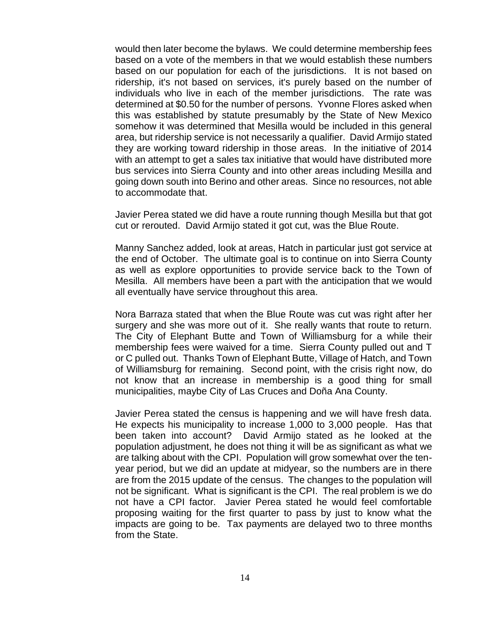would then later become the bylaws. We could determine membership fees based on a vote of the members in that we would establish these numbers based on our population for each of the jurisdictions. It is not based on ridership, it's not based on services, it's purely based on the number of individuals who live in each of the member jurisdictions. The rate was determined at \$0.50 for the number of persons. Yvonne Flores asked when this was established by statute presumably by the State of New Mexico somehow it was determined that Mesilla would be included in this general area, but ridership service is not necessarily a qualifier. David Armijo stated they are working toward ridership in those areas. In the initiative of 2014 with an attempt to get a sales tax initiative that would have distributed more bus services into Sierra County and into other areas including Mesilla and going down south into Berino and other areas. Since no resources, not able to accommodate that.

Javier Perea stated we did have a route running though Mesilla but that got cut or rerouted. David Armijo stated it got cut, was the Blue Route.

Manny Sanchez added, look at areas, Hatch in particular just got service at the end of October. The ultimate goal is to continue on into Sierra County as well as explore opportunities to provide service back to the Town of Mesilla. All members have been a part with the anticipation that we would all eventually have service throughout this area.

Nora Barraza stated that when the Blue Route was cut was right after her surgery and she was more out of it. She really wants that route to return. The City of Elephant Butte and Town of Williamsburg for a while their membership fees were waived for a time. Sierra County pulled out and T or C pulled out. Thanks Town of Elephant Butte, Village of Hatch, and Town of Williamsburg for remaining. Second point, with the crisis right now, do not know that an increase in membership is a good thing for small municipalities, maybe City of Las Cruces and Doña Ana County.

Javier Perea stated the census is happening and we will have fresh data. He expects his municipality to increase 1,000 to 3,000 people. Has that been taken into account? David Armijo stated as he looked at the population adjustment, he does not thing it will be as significant as what we are talking about with the CPI. Population will grow somewhat over the tenyear period, but we did an update at midyear, so the numbers are in there are from the 2015 update of the census. The changes to the population will not be significant. What is significant is the CPI. The real problem is we do not have a CPI factor. Javier Perea stated he would feel comfortable proposing waiting for the first quarter to pass by just to know what the impacts are going to be. Tax payments are delayed two to three months from the State.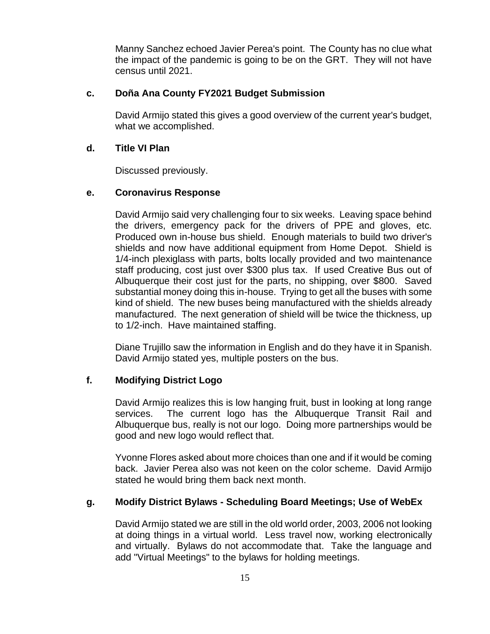Manny Sanchez echoed Javier Perea's point. The County has no clue what the impact of the pandemic is going to be on the GRT. They will not have census until 2021.

# **c. Doña Ana County FY2021 Budget Submission**

David Armijo stated this gives a good overview of the current year's budget, what we accomplished.

# **d. Title VI Plan**

Discussed previously.

# **e. Coronavirus Response**

David Armijo said very challenging four to six weeks. Leaving space behind the drivers, emergency pack for the drivers of PPE and gloves, etc. Produced own in-house bus shield. Enough materials to build two driver's shields and now have additional equipment from Home Depot. Shield is 1/4-inch plexiglass with parts, bolts locally provided and two maintenance staff producing, cost just over \$300 plus tax. If used Creative Bus out of Albuquerque their cost just for the parts, no shipping, over \$800. Saved substantial money doing this in-house. Trying to get all the buses with some kind of shield. The new buses being manufactured with the shields already manufactured. The next generation of shield will be twice the thickness, up to 1/2-inch. Have maintained staffing.

Diane Trujillo saw the information in English and do they have it in Spanish. David Armijo stated yes, multiple posters on the bus.

# **f. Modifying District Logo**

David Armijo realizes this is low hanging fruit, bust in looking at long range services. The current logo has the Albuquerque Transit Rail and Albuquerque bus, really is not our logo. Doing more partnerships would be good and new logo would reflect that.

Yvonne Flores asked about more choices than one and if it would be coming back. Javier Perea also was not keen on the color scheme. David Armijo stated he would bring them back next month.

# **g. Modify District Bylaws - Scheduling Board Meetings; Use of WebEx**

David Armijo stated we are still in the old world order, 2003, 2006 not looking at doing things in a virtual world. Less travel now, working electronically and virtually. Bylaws do not accommodate that. Take the language and add "Virtual Meetings" to the bylaws for holding meetings.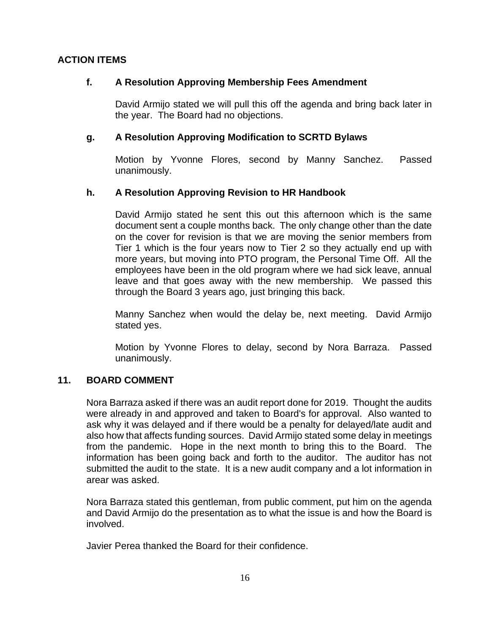# **ACTION ITEMS**

# **f. A Resolution Approving Membership Fees Amendment**

David Armijo stated we will pull this off the agenda and bring back later in the year. The Board had no objections.

# **g. A Resolution Approving Modification to SCRTD Bylaws**

Motion by Yvonne Flores, second by Manny Sanchez. Passed unanimously.

# **h. A Resolution Approving Revision to HR Handbook**

David Armijo stated he sent this out this afternoon which is the same document sent a couple months back. The only change other than the date on the cover for revision is that we are moving the senior members from Tier 1 which is the four years now to Tier 2 so they actually end up with more years, but moving into PTO program, the Personal Time Off. All the employees have been in the old program where we had sick leave, annual leave and that goes away with the new membership. We passed this through the Board 3 years ago, just bringing this back.

Manny Sanchez when would the delay be, next meeting. David Armijo stated yes.

Motion by Yvonne Flores to delay, second by Nora Barraza. Passed unanimously.

# **11. BOARD COMMENT**

Nora Barraza asked if there was an audit report done for 2019. Thought the audits were already in and approved and taken to Board's for approval. Also wanted to ask why it was delayed and if there would be a penalty for delayed/late audit and also how that affects funding sources. David Armijo stated some delay in meetings from the pandemic. Hope in the next month to bring this to the Board. The information has been going back and forth to the auditor. The auditor has not submitted the audit to the state. It is a new audit company and a lot information in arear was asked.

Nora Barraza stated this gentleman, from public comment, put him on the agenda and David Armijo do the presentation as to what the issue is and how the Board is involved.

Javier Perea thanked the Board for their confidence.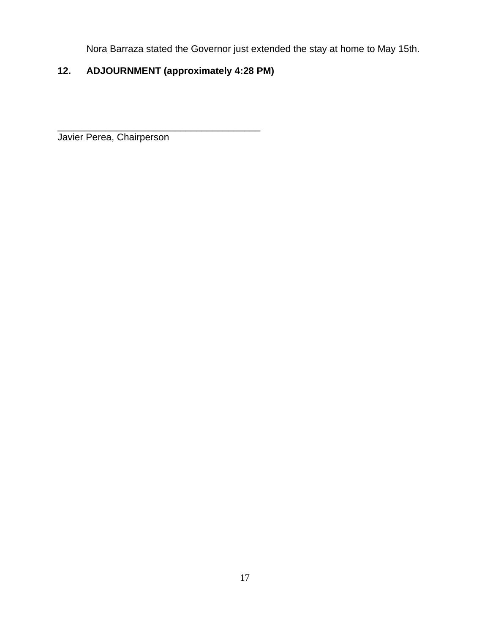Nora Barraza stated the Governor just extended the stay at home to May 15th.

# **12. ADJOURNMENT (approximately 4:28 PM)**

\_\_\_\_\_\_\_\_\_\_\_\_\_\_\_\_\_\_\_\_\_\_\_\_\_\_\_\_\_\_\_\_\_\_\_\_\_\_ Javier Perea, Chairperson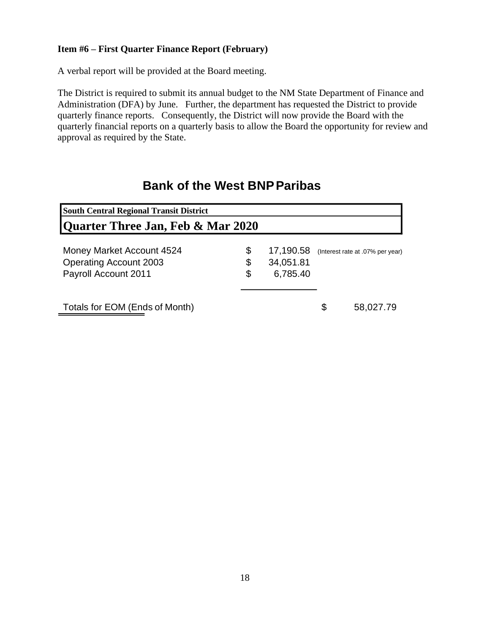## **Item #6 – First Quarter Finance Report (February)**

A verbal report will be provided at the Board meeting.

The District is required to submit its annual budget to the NM State Department of Finance and Administration (DFA) by June. Further, the department has requested the District to provide quarterly finance reports. Consequently, the District will now provide the Board with the quarterly financial reports on a quarterly basis to allow the Board the opportunity for review and approval as required by the State.

# **Bank of the West BNPParibas**

| <b>South Central Regional Transit District</b> |                 |                                  |
|------------------------------------------------|-----------------|----------------------------------|
| Quarter Three Jan, Feb & Mar 2020              |                 |                                  |
| Money Market Account 4524                      | \$<br>17,190.58 | (Interest rate at .07% per year) |
| <b>Operating Account 2003</b>                  | \$<br>34,051.81 |                                  |
| Payroll Account 2011                           | \$<br>6,785.40  |                                  |
| Totals for EOM (Ends of Month)                 |                 | \$<br>58,027.79                  |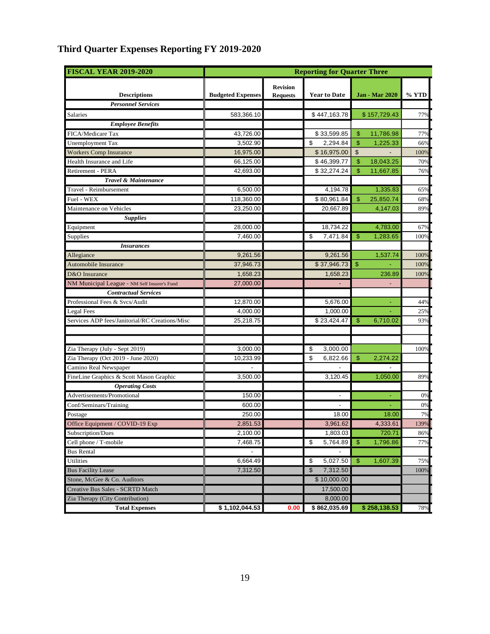| <b>FISCAL YEAR 2019-2020</b>                   |                          |                 | <b>Reporting for Quarter Three</b> |                             |       |  |  |
|------------------------------------------------|--------------------------|-----------------|------------------------------------|-----------------------------|-------|--|--|
|                                                |                          | <b>Revision</b> |                                    |                             |       |  |  |
| <b>Descriptions</b>                            | <b>Budgeted Expenses</b> | <b>Requests</b> | <b>Year to Date</b>                | <b>Jan - Mar 2020</b>       | % YTD |  |  |
| <b>Personnel Services</b>                      |                          |                 |                                    |                             |       |  |  |
| Salaries                                       | 583,366.10               |                 | \$447,163.78                       | \$157,729.43                | 77%   |  |  |
| <b>Employee Benefits</b>                       |                          |                 |                                    |                             |       |  |  |
| FICA/Medicare Tax                              | 43,726.00                |                 | \$33,599.85                        | \$<br>11,786.98             | 77%   |  |  |
| <b>Unemployment Tax</b>                        | 3,502.90                 |                 | 2,294.84<br>\$                     | \$<br>1,225.33              | 66%   |  |  |
| <b>Workers Comp Insurance</b>                  | 16,975.00                |                 | \$16,975.00                        | $\mathfrak{S}$              | 1009  |  |  |
| Health Insurance and Life                      | 66,125.00                |                 | \$46,399.77                        | $\mathfrak{S}$<br>18,043.25 | 709   |  |  |
| <b>Retirement - PERA</b>                       | 42,693.00                |                 | \$32,274.24                        | \$<br>11,667.85             | 76%   |  |  |
| Travel & Maintenance                           |                          |                 |                                    |                             |       |  |  |
| Travel - Reimbursement                         | 6,500.00                 |                 | 4,194.78                           | 1,335.83                    | 65%   |  |  |
| Fuel - WEX                                     | 118,360.00               |                 | \$80,961.84                        | \$<br>25,850.74             | 68%   |  |  |
| Maintenance on Vehicles                        | 23,250.00                |                 | 20,667.89                          | 4,147.03                    | 89%   |  |  |
| <b>Supplies</b>                                |                          |                 |                                    |                             |       |  |  |
| Equipment                                      | 28,000.00                |                 | 18,734.22                          | 4,783.00                    | 67%   |  |  |
| Supplies                                       | 7,460.00                 |                 | \$<br>7,471.84                     | \$<br>1,283.65              | 1009  |  |  |
| <b>Insurances</b>                              |                          |                 |                                    |                             |       |  |  |
| Allegiance                                     | 9,261.56                 |                 | 9,261.56                           | 1,537.74                    | 1009  |  |  |
| Automobile Insurance                           | 37,946.73                |                 | \$37,946.73                        | $\mathsf{\$}$               | 1009  |  |  |
| D&O Insurance                                  | 1,658.23                 |                 | 1,658.23                           | 236.89                      | 1009  |  |  |
| NM Municipal League - NM Self Insurer's Fund   | 27,000.00                |                 |                                    |                             |       |  |  |
| <b>Contractual Services</b>                    |                          |                 |                                    |                             |       |  |  |
| Professional Fees & Svcs/Audit                 | 12,870.00                |                 | 5,676.00                           |                             | 44%   |  |  |
| Legal Fees                                     | 4,000.00                 |                 | 1,000.00                           |                             | 25%   |  |  |
| Services ADP fees/Janitorial/RC Creations/Misc | 25,218.75                |                 | \$23,424.47                        | \$<br>6,710.02              | 93%   |  |  |
|                                                |                          |                 |                                    |                             |       |  |  |
|                                                |                          |                 |                                    |                             |       |  |  |
| Zia Therapy (July - Sept 2019)                 | 3,000.00                 |                 | \$<br>3,000.00                     |                             | 100%  |  |  |
| Zia Therapy (Oct 2019 - June 2020)             | 10,233.99                |                 | \$<br>6,822.66                     | \$<br>2,274.22              |       |  |  |
| Camino Real Newspaper                          |                          |                 |                                    |                             |       |  |  |
| FineLine Graphics & Scott Mason Graphic        | 3,500.00                 |                 | 3,120.45                           | 1,050.00                    | 89%   |  |  |
| <b>Operating Costs</b>                         |                          |                 |                                    |                             |       |  |  |
| Advertisements/Promotional                     | 150.00                   |                 |                                    |                             | 0%    |  |  |
| Conf/Seminars/Training                         | 600.00                   |                 |                                    |                             | 0%    |  |  |
| Postage                                        | 250.00                   |                 | 18.00                              | 18.00                       | 7%    |  |  |
| Office Equipment / COVID-19 Exp                | 2,851.53                 |                 | 3,961.62                           | 4,333.61                    | 139%  |  |  |
| Subscription/Dues                              | 2,100.00                 |                 | 1,803.03                           | 720.71                      | 86%   |  |  |
| Cell phone / T-mobile                          | 7,468.75                 |                 | \$<br>5,764.89                     | 1,796.86<br>\$              | 77%   |  |  |
| <b>Bus Rental</b>                              |                          |                 |                                    |                             |       |  |  |
| Utilities                                      | 6,664.49                 |                 | \$<br>5,027.50                     | 1,607.39<br>\$              | 75%   |  |  |
| <b>Bus Facility Lease</b>                      | 7,312.50                 |                 | \$<br>7,312.50                     |                             | 100%  |  |  |
| Stone, McGee & Co. Auditors                    |                          |                 | \$10,000.00                        |                             |       |  |  |
| Creative Bus Sales - SCRTD Match               |                          |                 | 17,500.00                          |                             |       |  |  |
| Zia Therapy (City Contribution)                |                          |                 | 8,000.00                           |                             |       |  |  |
| <b>Total Expenses</b>                          | \$1,102,044.53           | 0.00            | \$862,035.69                       | \$258,138.53                | 78%   |  |  |

# **Third Quarter Expenses Reporting FY 2019-2020**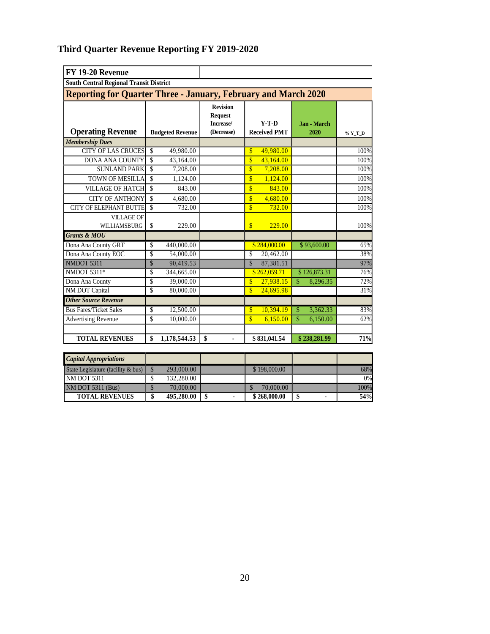# **Third Quarter Revenue Reporting FY 2019-2020**

| FY 19-20 Revenue                                                      |                    |                         |                                                              |                                |              |                            |              |         |
|-----------------------------------------------------------------------|--------------------|-------------------------|--------------------------------------------------------------|--------------------------------|--------------|----------------------------|--------------|---------|
| <b>South Central Regional Transit District</b>                        |                    |                         |                                                              |                                |              |                            |              |         |
| <b>Reporting for Quarter Three - January, February and March 2020</b> |                    |                         |                                                              |                                |              |                            |              |         |
| <b>Operating Revenue</b>                                              |                    | <b>Budgeted Revenue</b> | <b>Revision</b><br><b>Request</b><br>Increase/<br>(Decrease) | $Y-T-D$<br><b>Received PMT</b> |              | <b>Jan - March</b><br>2020 |              | % Y_T_D |
| <b>Membership Dues</b>                                                |                    |                         |                                                              |                                |              |                            |              |         |
| <b>CITY OF LAS CRUCES</b>                                             | \$                 | 49,980.00               |                                                              | $\mathbf{s}$                   | 49.980.00    |                            |              | 100%    |
| <b>DONA ANA COUNTY</b>                                                | \$                 | 43,164.00               |                                                              | \$                             | 43,164.00    |                            |              | 100%    |
| <b>SUNLAND PARK</b>                                                   | \$                 | 7,208.00                |                                                              | \$                             | 7,208.00     |                            |              | 100%    |
| <b>TOWN OF MESILLA</b>                                                | \$                 | 1,124.00                |                                                              | $\overline{\mathbf{S}}$        | 1,124.00     |                            |              | 100%    |
| <b>VILLAGE OF HATCH</b>                                               | $\mathbf{\hat{S}}$ | 843.00                  |                                                              | $\overline{\mathbb{S}}$        | 843.00       |                            |              | 100%    |
| <b>CITY OF ANTHONY</b>                                                | \$                 | 4,680.00                |                                                              | $\overline{\mathbf{S}}$        | 4.680.00     |                            |              | 100%    |
| <b>CITY OF ELEPHANT BUTTE</b>                                         | \$                 | 732.00                  |                                                              | \$                             | 732.00       |                            |              | 100%    |
| <b>VILLAGE OF</b><br>WILLIAMSBURG                                     | \$                 | 229.00                  |                                                              | $\mathbf{s}$                   | 229.00       |                            |              | 100%    |
| <b>Grants &amp; MOU</b>                                               |                    |                         |                                                              |                                |              |                            |              |         |
| Dona Ana County GRT                                                   | \$                 | 440,000.00              |                                                              |                                | \$284,000.00 |                            | \$93,600.00  | 65%     |
| Dona Ana County EOC                                                   | \$                 | 54,000.00               |                                                              | \$                             | 20,462.00    |                            |              | 38%     |
| NMDOT 5311                                                            | $\mathcal{S}$      | 90,419.53               |                                                              | $\mathcal{S}$                  | 87,381.51    |                            |              | 97%     |
| NMDOT 5311*                                                           | \$                 | 344,665.00              |                                                              |                                | \$262,059.71 |                            | \$126,873.31 | 76%     |
| Dona Ana County                                                       | \$                 | 39,000.00               |                                                              | \$                             | 27,938.15    | \$                         | 8,296.35     | 72%     |
| <b>NM DOT Capital</b>                                                 | \$                 | 80,000.00               |                                                              | $\overline{\mathbf{S}}$        | 24,695.98    |                            |              | 31%     |
| <b>Other Source Revenue</b>                                           |                    |                         |                                                              |                                |              |                            |              |         |
| <b>Bus Fares/Ticket Sales</b>                                         | \$                 | 12,500.00               |                                                              | $\mathbf{s}$                   | 10,394.19    | $\mathbf{\hat{S}}$         | 3,362.33     | 83%     |
| <b>Advertising Revenue</b>                                            | \$                 | 10,000.00               |                                                              | $\mathbf{s}$                   | 6.150.00     | \$                         | 6,150.00     | 62%     |
| <b>TOTAL REVENUES</b>                                                 | \$                 | 1,178,544.53            | \$                                                           |                                | \$831,041.54 |                            | \$238,281.99 | 71%     |

| <b>Capital Appropriations</b>      |            |                    |      |
|------------------------------------|------------|--------------------|------|
| State Legislature (facility & bus) | 293,000.00 | \$198,000.00       | 68%  |
| <b>NM DOT 5311</b>                 | 132,280.00 |                    | 0%   |
| <b>NM DOT 5311 (Bus)</b>           | 70,000.00  | 70,000.00          | 100% |
| <b>TOTAL REVENUES</b>              | 495,280.00 | \$<br>\$268,000.00 | 54%  |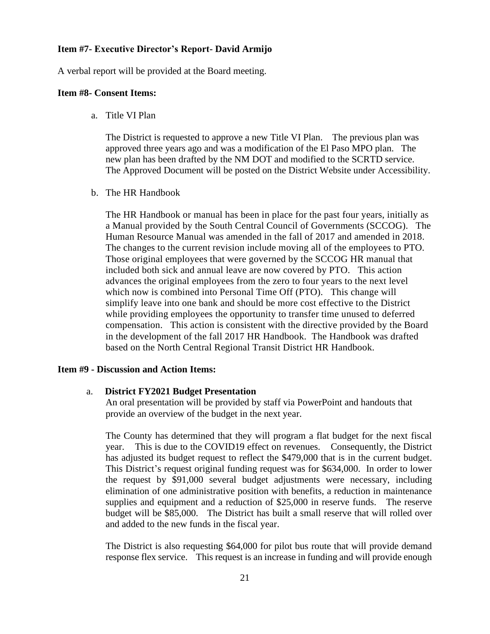#### **Item #7- Executive Director's Report- David Armijo**

A verbal report will be provided at the Board meeting.

#### **Item #8- Consent Items:**

a. Title VI Plan

The District is requested to approve a new Title VI Plan. The previous plan was approved three years ago and was a modification of the El Paso MPO plan. The new plan has been drafted by the NM DOT and modified to the SCRTD service. The Approved Document will be posted on the District Website under Accessibility.

b. The HR Handbook

The HR Handbook or manual has been in place for the past four years, initially as a Manual provided by the South Central Council of Governments (SCCOG). The Human Resource Manual was amended in the fall of 2017 and amended in 2018. The changes to the current revision include moving all of the employees to PTO. Those original employees that were governed by the SCCOG HR manual that included both sick and annual leave are now covered by PTO. This action advances the original employees from the zero to four years to the next level which now is combined into Personal Time Off (PTO). This change will simplify leave into one bank and should be more cost effective to the District while providing employees the opportunity to transfer time unused to deferred compensation. This action is consistent with the directive provided by the Board in the development of the fall 2017 HR Handbook. The Handbook was drafted based on the North Central Regional Transit District HR Handbook.

#### **Item #9 - Discussion and Action Items:**

#### a. **District FY2021 Budget Presentation**

An oral presentation will be provided by staff via PowerPoint and handouts that provide an overview of the budget in the next year.

The County has determined that they will program a flat budget for the next fiscal year. This is due to the COVID19 effect on revenues. Consequently, the District has adjusted its budget request to reflect the \$479,000 that is in the current budget. This District's request original funding request was for \$634,000. In order to lower the request by \$91,000 several budget adjustments were necessary, including elimination of one administrative position with benefits, a reduction in maintenance supplies and equipment and a reduction of \$25,000 in reserve funds. The reserve budget will be \$85,000. The District has built a small reserve that will rolled over and added to the new funds in the fiscal year.

The District is also requesting \$64,000 for pilot bus route that will provide demand response flex service. This request is an increase in funding and will provide enough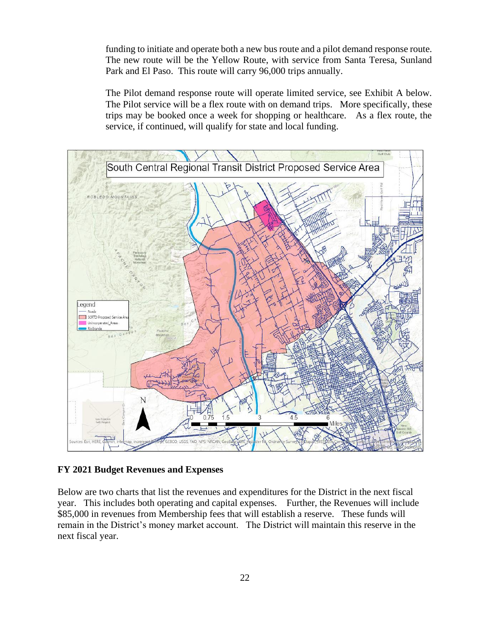funding to initiate and operate both a new bus route and a pilot demand response route. The new route will be the Yellow Route, with service from Santa Teresa, Sunland Park and El Paso. This route will carry 96,000 trips annually.

The Pilot demand response route will operate limited service, see Exhibit A below. The Pilot service will be a flex route with on demand trips. More specifically, these trips may be booked once a week for shopping or healthcare. As a flex route, the service, if continued, will qualify for state and local funding.



#### **FY 2021 Budget Revenues and Expenses**

Below are two charts that list the revenues and expenditures for the District in the next fiscal year. This includes both operating and capital expenses. Further, the Revenues will include \$85,000 in revenues from Membership fees that will establish a reserve. These funds will remain in the District's money market account. The District will maintain this reserve in the next fiscal year.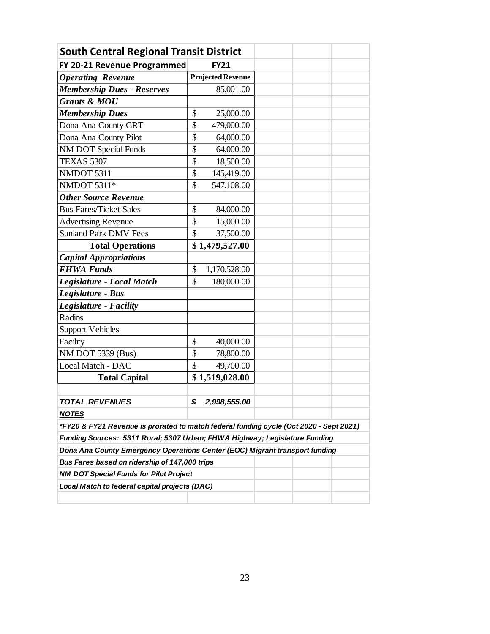| <b>South Central Regional Transit District</b>                                                                                                            |                          |  |  |
|-----------------------------------------------------------------------------------------------------------------------------------------------------------|--------------------------|--|--|
| FY 20-21 Revenue Programmed                                                                                                                               | <b>FY21</b>              |  |  |
| <b>Operating Revenue</b>                                                                                                                                  | <b>Projected Revenue</b> |  |  |
| <b>Membership Dues - Reserves</b>                                                                                                                         | 85,001.00                |  |  |
| <b>Grants &amp; MOU</b>                                                                                                                                   |                          |  |  |
| <b>Membership Dues</b>                                                                                                                                    | \$<br>25,000.00          |  |  |
| Dona Ana County GRT                                                                                                                                       | \$<br>479,000.00         |  |  |
| Dona Ana County Pilot                                                                                                                                     | \$<br>64,000.00          |  |  |
| <b>NM DOT Special Funds</b>                                                                                                                               | \$<br>64,000.00          |  |  |
| <b>TEXAS 5307</b>                                                                                                                                         | \$<br>18,500.00          |  |  |
| NMDOT 5311                                                                                                                                                | \$<br>145,419.00         |  |  |
| NMDOT 5311*                                                                                                                                               | \$<br>547,108.00         |  |  |
| <b>Other Source Revenue</b>                                                                                                                               |                          |  |  |
| <b>Bus Fares/Ticket Sales</b>                                                                                                                             | \$<br>84,000.00          |  |  |
| <b>Advertising Revenue</b>                                                                                                                                | \$<br>15,000.00          |  |  |
| <b>Sunland Park DMV Fees</b>                                                                                                                              | \$<br>37,500.00          |  |  |
| <b>Total Operations</b>                                                                                                                                   | \$1,479,527.00           |  |  |
| <b>Capital Appropriations</b>                                                                                                                             |                          |  |  |
| <b>FHWA Funds</b>                                                                                                                                         | \$<br>1,170,528.00       |  |  |
| Legislature - Local Match                                                                                                                                 | \$<br>180,000.00         |  |  |
| Legislature - Bus                                                                                                                                         |                          |  |  |
| Legislature - Facility                                                                                                                                    |                          |  |  |
| Radios                                                                                                                                                    |                          |  |  |
| <b>Support Vehicles</b>                                                                                                                                   |                          |  |  |
| Facility                                                                                                                                                  | \$<br>40,000.00          |  |  |
| NM DOT 5339 (Bus)                                                                                                                                         | \$<br>78,800.00          |  |  |
| Local Match - DAC                                                                                                                                         | \$<br>49,700.00          |  |  |
| <b>Total Capital</b>                                                                                                                                      | \$1,519,028.00           |  |  |
|                                                                                                                                                           |                          |  |  |
| <b>TOTAL REVENUES</b>                                                                                                                                     | \$<br>2,998,555.00       |  |  |
| <u>NOTES</u>                                                                                                                                              |                          |  |  |
| *FY20 & FY21 Revenue is prorated to match federal funding cycle (Oct 2020 - Sept 2021)                                                                    |                          |  |  |
|                                                                                                                                                           |                          |  |  |
|                                                                                                                                                           |                          |  |  |
| Funding Sources: 5311 Rural; 5307 Urban; FHWA Highway; Legislature Funding<br>Dona Ana County Emergency Operations Center (EOC) Migrant transport funding |                          |  |  |
| Bus Fares based on ridership of 147,000 trips                                                                                                             |                          |  |  |
| <b>NM DOT Special Funds for Pilot Project</b>                                                                                                             |                          |  |  |
| Local Match to federal capital projects (DAC)                                                                                                             |                          |  |  |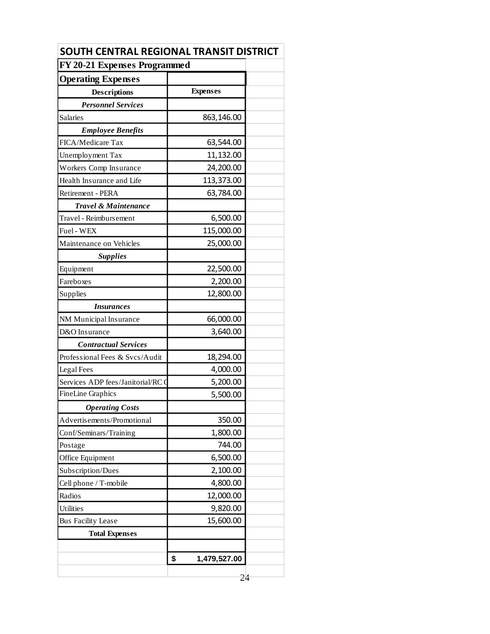| SOUTH CENTRAL REGIONAL TRANSIT DISTRICT |                    |  |
|-----------------------------------------|--------------------|--|
| FY 20-21 Expenses Programmed            |                    |  |
| <b>Operating Expenses</b>               |                    |  |
| <b>Descriptions</b>                     | <b>Expenses</b>    |  |
| <b>Personnel Services</b>               |                    |  |
| Salaries                                | 863,146.00         |  |
| <b>Employee Benefits</b>                |                    |  |
| FICA/Medicare Tax                       | 63,544.00          |  |
| Unemployment Tax                        | 11,132.00          |  |
| Workers Comp Insurance                  | 24,200.00          |  |
| Health Insurance and Life               | 113,373.00         |  |
| Retirement - PERA                       | 63,784.00          |  |
| Travel & Maintenance                    |                    |  |
| Travel - Reimbursement                  | 6,500.00           |  |
| Fuel - WEX                              | 115,000.00         |  |
| Maintenance on Vehicles                 | 25,000.00          |  |
| <b>Supplies</b>                         |                    |  |
| Equipment                               | 22,500.00          |  |
| Fareboxes                               | 2,200.00           |  |
| Supplies                                | 12,800.00          |  |
| <b>Insurances</b>                       |                    |  |
| NM Municipal Insurance                  | 66,000.00          |  |
| D&O Insurance                           | 3,640.00           |  |
| <b>Contractual Services</b>             |                    |  |
| Professional Fees & Svcs/Audit          | 18,294.00          |  |
| Legal Fees                              | 4,000.00           |  |
| Services ADP fees/Janitorial/RC 0       | 5,200.00           |  |
| <b>FineLine Graphics</b>                | 5,500.00           |  |
| <b>Operating Costs</b>                  |                    |  |
| Advertisements/Promotional              | 350.00             |  |
| Conf/Seminars/Training                  | 1,800.00           |  |
| Postage                                 | 744.00             |  |
| Office Equipment                        | 6,500.00           |  |
| Subscription/Dues                       | 2,100.00           |  |
| Cell phone / T-mobile                   | 4,800.00           |  |
| Radios                                  | 12,000.00          |  |
| <b>Utilities</b>                        | 9,820.00           |  |
| <b>Bus Facility Lease</b>               | 15,600.00          |  |
| <b>Total Expenses</b>                   |                    |  |
|                                         |                    |  |
|                                         | \$<br>1,479,527.00 |  |
|                                         |                    |  |
|                                         | 24                 |  |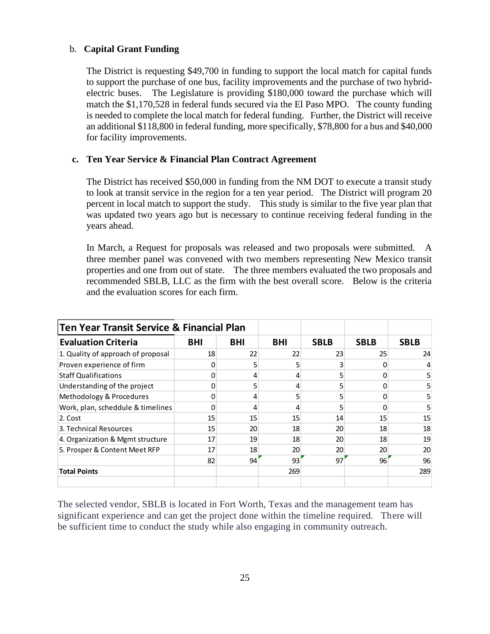#### b. **Capital Grant Funding**

The District is requesting \$49,700 in funding to support the local match for capital funds to support the purchase of one bus, facility improvements and the purchase of two hybridelectric buses. The Legislature is providing \$180,000 toward the purchase which will match the \$1,170,528 in federal funds secured via the El Paso MPO. The county funding is needed to complete the local match for federal funding. Further, the District will receive an additional \$118,800 in federal funding, more specifically, \$78,800 for a bus and \$40,000 for facility improvements.

#### **c. Ten Year Service & Financial Plan Contract Agreement**

The District has received \$50,000 in funding from the NM DOT to execute a transit study to look at transit service in the region for a ten year period. The District will program 20 percent in local match to support the study. This study is similar to the five year plan that was updated two years ago but is necessary to continue receiving federal funding in the years ahead.

In March, a Request for proposals was released and two proposals were submitted. A three member panel was convened with two members representing New Mexico transit properties and one from out of state. The three members evaluated the two proposals and recommended SBLB, LLC as the firm with the best overall score. Below is the criteria and the evaluation scores for each firm.

| <b>Ten Year Transit Service &amp; Financial Plan</b> |            |            |            |             |             |             |
|------------------------------------------------------|------------|------------|------------|-------------|-------------|-------------|
| <b>Evaluation Criteria</b>                           | <b>BHI</b> | <b>BHI</b> | <b>BHI</b> | <b>SBLB</b> | <b>SBLB</b> | <b>SBLB</b> |
| 1. Quality of approach of proposal                   | 18         | 22         | 22         | 23          | 25          | 24          |
| Proven experience of firm                            |            |            | 5          |             |             |             |
| <b>Staff Qualifications</b>                          |            |            | 4          |             |             | 5           |
| Understanding of the project                         |            |            | 4          |             |             | 5           |
| Methodology & Procedures                             |            |            |            |             |             | 5.          |
| Work, plan, scheddule & timelines                    |            |            | 4          |             |             | 5           |
| 2. Cost                                              | 15         | 15         | 15         | 14          | 15          | 15          |
| 3. Technical Resources                               | 15         | 20         | 18         | 20          | 18          | 18          |
| 4. Organization & Mgmt structure                     | 17         | 19         | 18         | 20          | 18          | 19          |
| 5. Prosper & Content Meet RFP                        | 17         | 18         | 20         | 20          | 20          | 20          |
|                                                      | 82         | 94         | 93'        | 97          | 96          | 96          |
| <b>Total Points</b>                                  |            |            | 269        |             |             | 289         |

The selected vendor, SBLB is located in Fort Worth, Texas and the management team has significant experience and can get the project done within the timeline required. There will be sufficient time to conduct the study while also engaging in community outreach.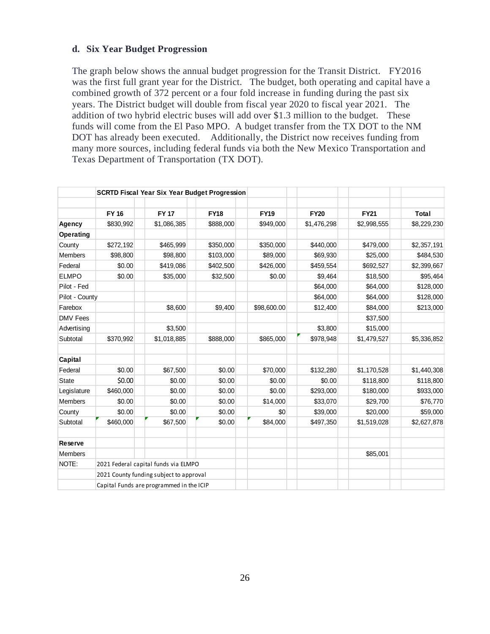#### **d. Six Year Budget Progression**

The graph below shows the annual budget progression for the Transit District. FY2016 was the first full grant year for the District. The budget, both operating and capital have a combined growth of 372 percent or a four fold increase in funding during the past six years. The District budget will double from fiscal year 2020 to fiscal year 2021. The addition of two hybrid electric buses will add over \$1.3 million to the budget. These funds will come from the El Paso MPO. A budget transfer from the TX DOT to the NM DOT has already been executed. Additionally, the District now receives funding from many more sources, including federal funds via both the New Mexico Transportation and Texas Department of Transportation (TX DOT).

|                 |              | <b>SCRTD Fiscal Year Six Year Budget Progression</b> |             |             |             |             |              |
|-----------------|--------------|------------------------------------------------------|-------------|-------------|-------------|-------------|--------------|
|                 | <b>FY 16</b> | <b>FY 17</b>                                         | <b>FY18</b> | <b>FY19</b> | <b>FY20</b> | <b>FY21</b> | <b>Total</b> |
| Agency          | \$830,992    | \$1,086,385                                          | \$888,000   | \$949,000   | \$1,476,298 | \$2,998,555 | \$8,229,230  |
| Operating       |              |                                                      |             |             |             |             |              |
| County          | \$272,192    | \$465,999                                            | \$350,000   | \$350,000   | \$440,000   | \$479,000   | \$2,357,191  |
| <b>Members</b>  | \$98,800     | \$98,800                                             | \$103,000   | \$89,000    | \$69,930    | \$25,000    | \$484,530    |
| Federal         | \$0.00       | \$419,086                                            | \$402,500   | \$426,000   | \$459,554   | \$692,527   | \$2,399,667  |
| <b>ELMPO</b>    | \$0.00       | \$35,000                                             | \$32,500    | \$0.00      | \$9,464     | \$18,500    | \$95,464     |
| Pilot - Fed     |              |                                                      |             |             | \$64,000    | \$64,000    | \$128,000    |
| Pilot - County  |              |                                                      |             |             | \$64,000    | \$64,000    | \$128,000    |
| Farebox         |              | \$8,600                                              | \$9,400     | \$98,600.00 | \$12,400    | \$84,000    | \$213,000    |
| <b>DMV Fees</b> |              |                                                      |             |             |             | \$37,500    |              |
| Advertising     |              | \$3,500                                              |             |             | \$3,800     | \$15,000    |              |
| Subtotal        | \$370,992    | \$1,018,885                                          | \$888,000   | \$865,000   | \$978,948   | \$1,479,527 | \$5,336,852  |
| Capital         |              |                                                      |             |             |             |             |              |
| Federal         | \$0.00       | \$67,500                                             | \$0.00      | \$70,000    | \$132,280   | \$1,170,528 | \$1,440,308  |
| <b>State</b>    | \$0.00       | \$0.00                                               | \$0.00      | \$0.00      | \$0.00      | \$118,800   | \$118,800    |
| Legislature     | \$460,000    | \$0.00                                               | \$0.00      | \$0.00      | \$293,000   | \$180,000   | \$933,000    |
| Members         | \$0.00       | \$0.00                                               | \$0.00      | \$14,000    | \$33,070    | \$29,700    | \$76,770     |
| County          | \$0.00       | \$0.00                                               | \$0.00      | \$0         | \$39,000    | \$20,000    | \$59,000     |
| Subtotal        | \$460,000    | \$67,500                                             | \$0.00      | \$84,000    | \$497,350   | \$1,519,028 | \$2,627,878  |
| Reserve         |              |                                                      |             |             |             |             |              |
| <b>Members</b>  |              |                                                      |             |             |             | \$85,001    |              |
| NOTE:           |              | 2021 Federal capital funds via ELMPO                 |             |             |             |             |              |
|                 |              | 2021 County funding subject to approval              |             |             |             |             |              |
|                 |              | Capital Funds are programmed in the ICIP             |             |             |             |             |              |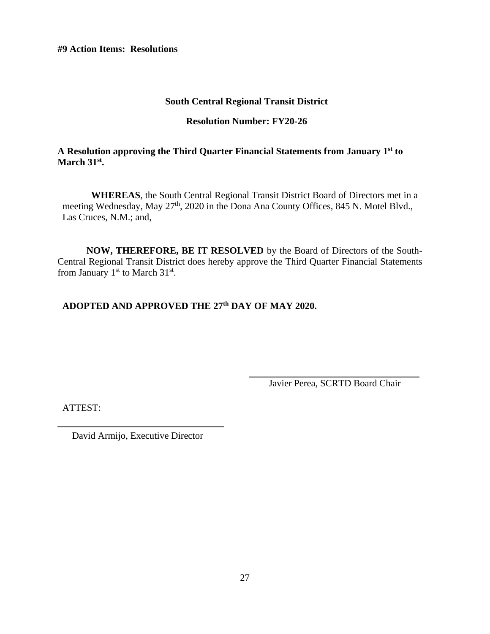**#9 Action Items: Resolutions**

## **South Central Regional Transit District**

## **Resolution Number: FY20-26**

## **A Resolution approving the Third Quarter Financial Statements from January 1st to March 31st .**

**WHEREAS**, the South Central Regional Transit District Board of Directors met in a meeting Wednesday, May 27<sup>th</sup>, 2020 in the Dona Ana County Offices, 845 N. Motel Blvd., Las Cruces, N.M.; and,

**NOW, THEREFORE, BE IT RESOLVED** by the Board of Directors of the South-Central Regional Transit District does hereby approve the Third Quarter Financial Statements from January  $1<sup>st</sup>$  to March  $31<sup>st</sup>$ .

# **ADOPTED AND APPROVED THE 27th DAY OF MAY 2020.**

Javier Perea, SCRTD Board Chair

ATTEST: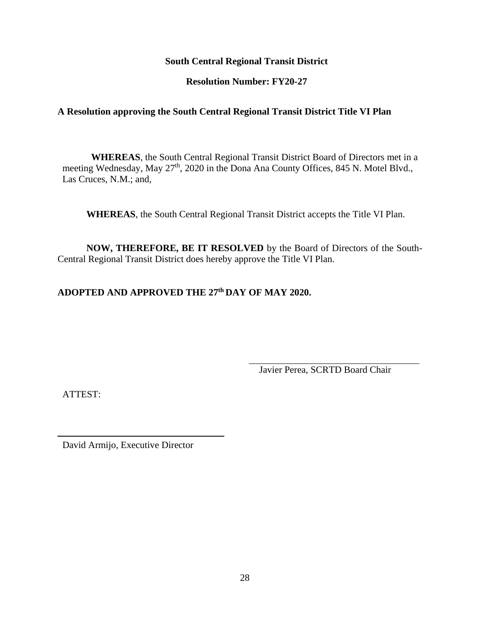**Resolution Number: FY20-27**

# **A Resolution approving the South Central Regional Transit District Title VI Plan**

**WHEREAS**, the South Central Regional Transit District Board of Directors met in a meeting Wednesday, May 27<sup>th</sup>, 2020 in the Dona Ana County Offices, 845 N. Motel Blvd., Las Cruces, N.M.; and,

**WHEREAS**, the South Central Regional Transit District accepts the Title VI Plan.

**NOW, THEREFORE, BE IT RESOLVED** by the Board of Directors of the South-Central Regional Transit District does hereby approve the Title VI Plan.

# **ADOPTED AND APPROVED THE 27 th DAY OF MAY 2020.**

Javier Perea, SCRTD Board Chair

ATTEST: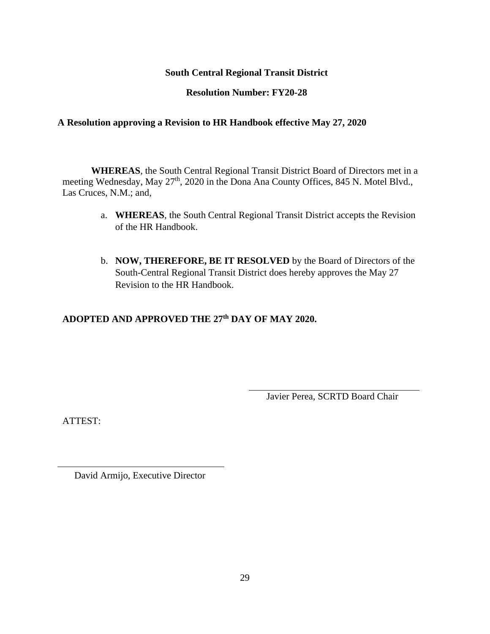## **Resolution Number: FY20-28**

## **A Resolution approving a Revision to HR Handbook effective May 27, 2020**

**WHEREAS**, the South Central Regional Transit District Board of Directors met in a meeting Wednesday, May 27<sup>th</sup>, 2020 in the Dona Ana County Offices, 845 N. Motel Blvd., Las Cruces, N.M.; and,

- a. **WHEREAS**, the South Central Regional Transit District accepts the Revision of the HR Handbook.
- b. **NOW, THEREFORE, BE IT RESOLVED** by the Board of Directors of the South-Central Regional Transit District does hereby approves the May 27 Revision to the HR Handbook.

# **ADOPTED AND APPROVED THE 27 th DAY OF MAY 2020.**

Javier Perea, SCRTD Board Chair

ATTEST: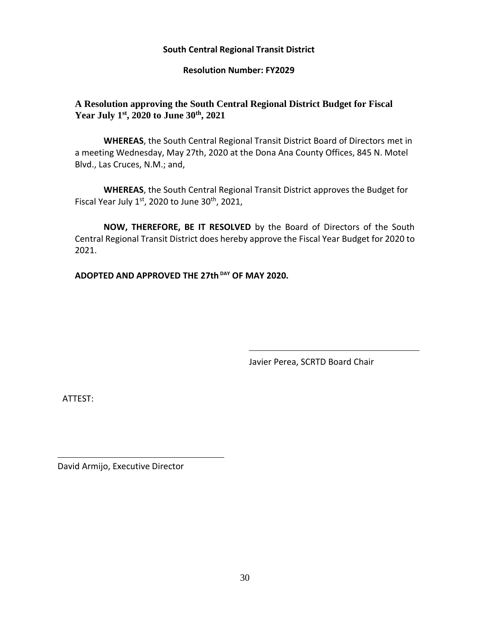#### **Resolution Number: FY2029**

## **A Resolution approving the South Central Regional District Budget for Fiscal Year July 1st , 2020 to June 30th , 2021**

**WHEREAS**, the South Central Regional Transit District Board of Directors met in a meeting Wednesday, May 27th, 2020 at the Dona Ana County Offices, 845 N. Motel Blvd., Las Cruces, N.M.; and,

**WHEREAS**, the South Central Regional Transit District approves the Budget for Fiscal Year July  $1<sup>st</sup>$ , 2020 to June 30<sup>th</sup>, 2021,

**NOW, THEREFORE, BE IT RESOLVED** by the Board of Directors of the South Central Regional Transit District does hereby approve the Fiscal Year Budget for 2020 to 2021.

**ADOPTED AND APPROVED THE 27th DAY OF MAY 2020.**

Javier Perea, SCRTD Board Chair

ATTEST: